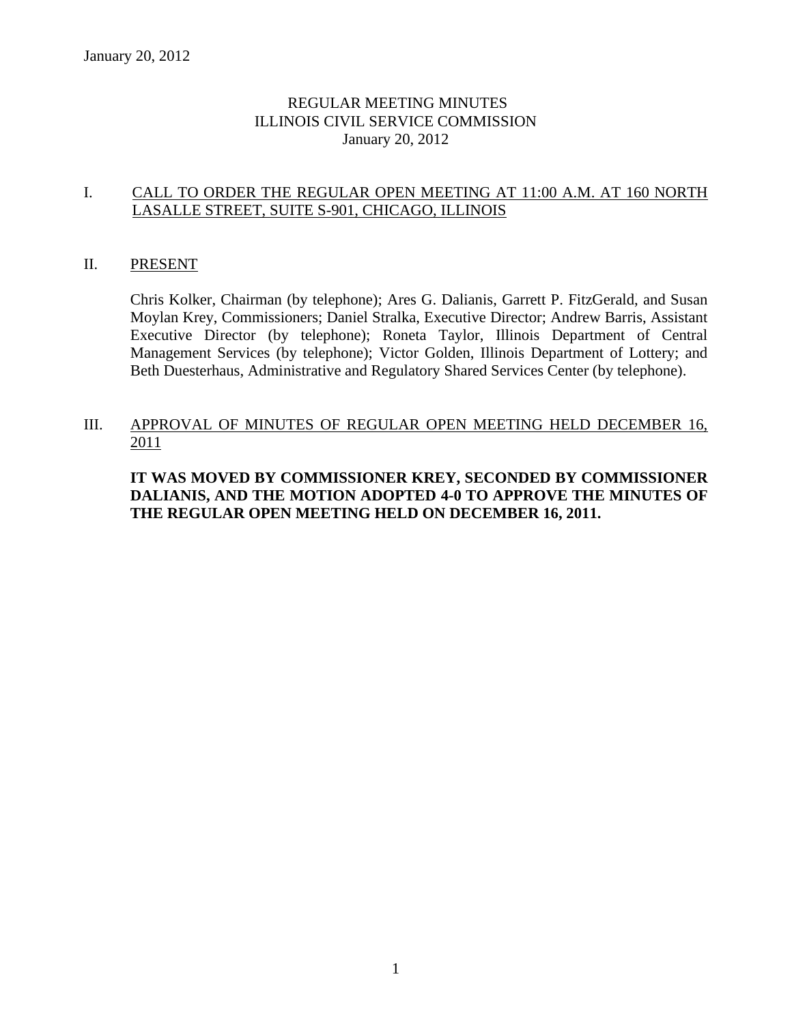# REGULAR MEETING MINUTES ILLINOIS CIVIL SERVICE COMMISSION January 20, 2012

# I. CALL TO ORDER THE REGULAR OPEN MEETING AT 11:00 A.M. AT 160 NORTH LASALLE STREET, SUITE S-901, CHICAGO, ILLINOIS

### II. PRESENT

Chris Kolker, Chairman (by telephone); Ares G. Dalianis, Garrett P. FitzGerald, and Susan Moylan Krey, Commissioners; Daniel Stralka, Executive Director; Andrew Barris, Assistant Executive Director (by telephone); Roneta Taylor, Illinois Department of Central Management Services (by telephone); Victor Golden, Illinois Department of Lottery; and Beth Duesterhaus, Administrative and Regulatory Shared Services Center (by telephone).

### III. APPROVAL OF MINUTES OF REGULAR OPEN MEETING HELD DECEMBER 16, 2011

# **IT WAS MOVED BY COMMISSIONER KREY, SECONDED BY COMMISSIONER DALIANIS, AND THE MOTION ADOPTED 4-0 TO APPROVE THE MINUTES OF THE REGULAR OPEN MEETING HELD ON DECEMBER 16, 2011.**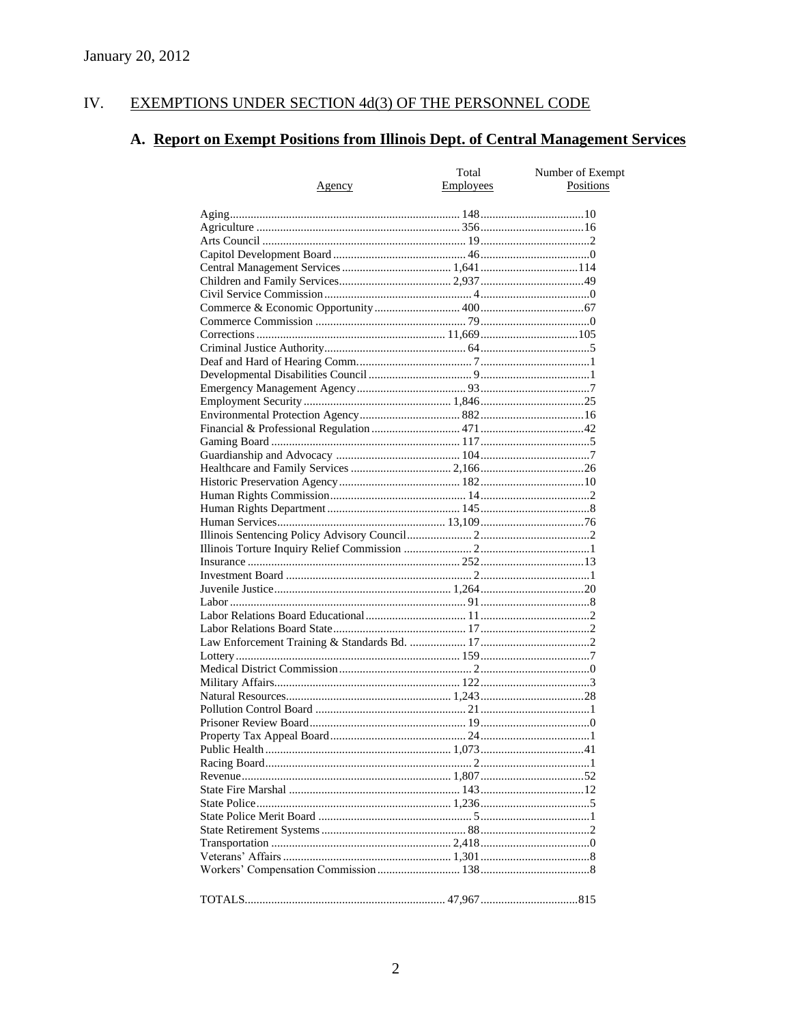#### IV. EXEMPTIONS UNDER SECTION 4d(3) OF THE PERSONNEL CODE

# A. Report on Exempt Positions from Illinois Dept. of Central Management Services

| <u>Agency</u> | Total<br>Employees | Number of Exempt<br>Positions |
|---------------|--------------------|-------------------------------|
|               |                    |                               |
|               |                    |                               |
|               |                    |                               |
|               |                    |                               |
|               |                    |                               |
|               |                    |                               |
|               |                    |                               |
|               |                    |                               |
|               |                    |                               |
|               |                    |                               |
|               |                    |                               |
|               |                    |                               |
|               |                    |                               |
|               |                    |                               |
|               |                    |                               |
|               |                    |                               |
|               |                    |                               |
|               |                    |                               |
|               |                    |                               |
|               |                    |                               |
|               |                    |                               |
|               |                    |                               |
|               |                    |                               |
|               |                    |                               |
|               |                    |                               |
|               |                    |                               |
|               |                    |                               |
|               |                    |                               |
|               |                    |                               |
|               |                    |                               |
|               |                    |                               |
|               |                    |                               |
|               |                    |                               |
|               |                    |                               |
|               |                    |                               |
|               |                    |                               |
|               |                    |                               |
|               |                    |                               |
|               |                    |                               |
|               |                    |                               |
|               |                    |                               |
|               |                    |                               |
|               |                    |                               |
|               |                    |                               |
|               |                    |                               |
|               |                    |                               |
|               |                    |                               |
|               |                    |                               |
|               |                    |                               |
|               |                    |                               |
|               |                    |                               |
|               |                    |                               |
|               |                    |                               |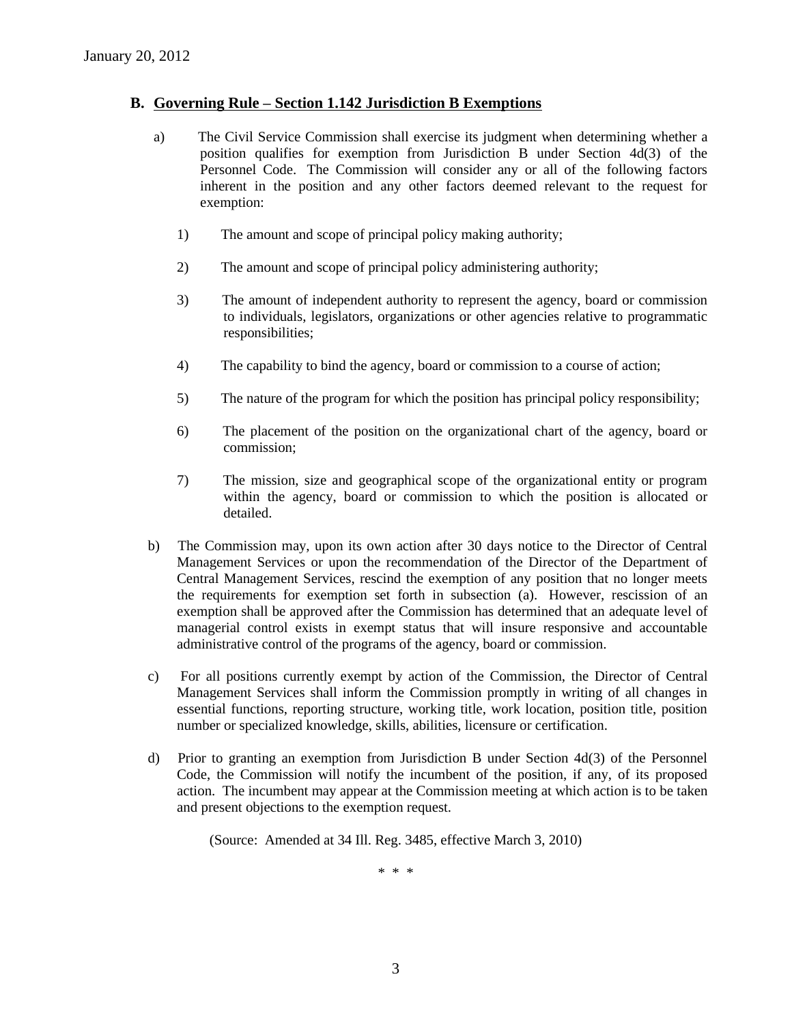#### **B. Governing Rule – Section 1.142 Jurisdiction B Exemptions**

- a) The Civil Service Commission shall exercise its judgment when determining whether a position qualifies for exemption from Jurisdiction B under Section 4d(3) of the Personnel Code. The Commission will consider any or all of the following factors inherent in the position and any other factors deemed relevant to the request for exemption:
	- 1) The amount and scope of principal policy making authority;
	- 2) The amount and scope of principal policy administering authority;
	- 3) The amount of independent authority to represent the agency, board or commission to individuals, legislators, organizations or other agencies relative to programmatic responsibilities;
	- 4) The capability to bind the agency, board or commission to a course of action;
	- 5) The nature of the program for which the position has principal policy responsibility;
	- 6) The placement of the position on the organizational chart of the agency, board or commission;
	- 7) The mission, size and geographical scope of the organizational entity or program within the agency, board or commission to which the position is allocated or detailed.
- b) The Commission may, upon its own action after 30 days notice to the Director of Central Management Services or upon the recommendation of the Director of the Department of Central Management Services, rescind the exemption of any position that no longer meets the requirements for exemption set forth in subsection (a). However, rescission of an exemption shall be approved after the Commission has determined that an adequate level of managerial control exists in exempt status that will insure responsive and accountable administrative control of the programs of the agency, board or commission.
- c) For all positions currently exempt by action of the Commission, the Director of Central Management Services shall inform the Commission promptly in writing of all changes in essential functions, reporting structure, working title, work location, position title, position number or specialized knowledge, skills, abilities, licensure or certification.
- d) Prior to granting an exemption from Jurisdiction B under Section 4d(3) of the Personnel Code, the Commission will notify the incumbent of the position, if any, of its proposed action. The incumbent may appear at the Commission meeting at which action is to be taken and present objections to the exemption request.

(Source: Amended at 34 Ill. Reg. 3485, effective March 3, 2010)

\* \* \*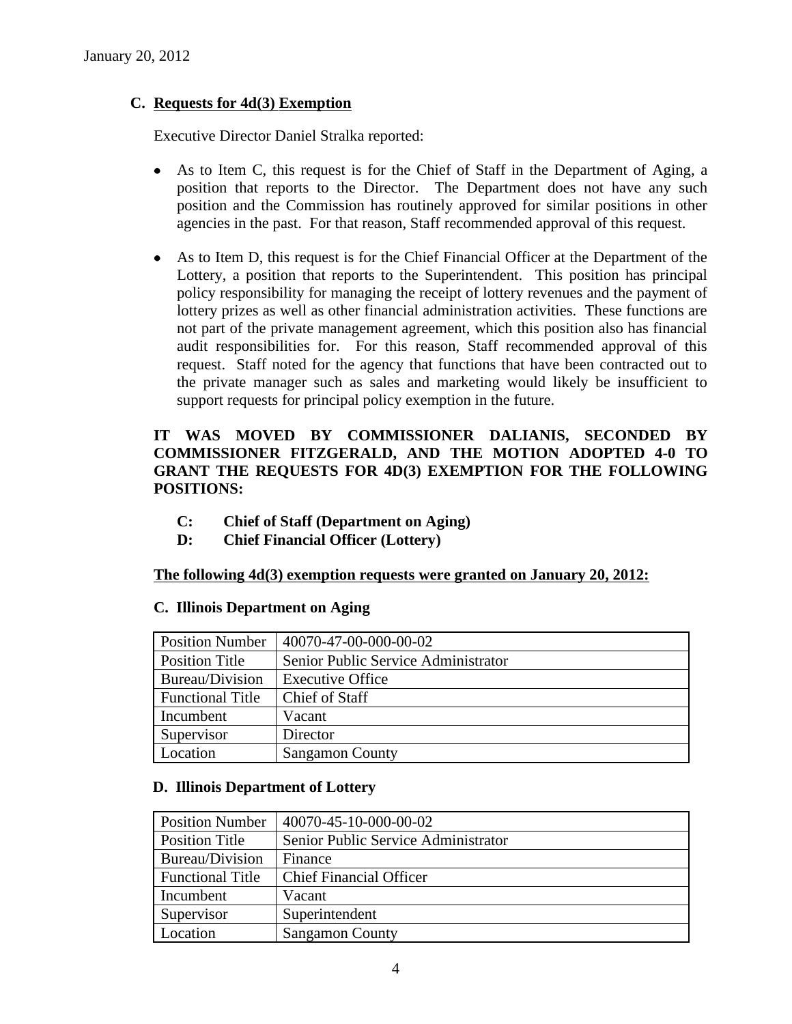# **C. Requests for 4d(3) Exemption**

Executive Director Daniel Stralka reported:

- $\bullet$ As to Item C, this request is for the Chief of Staff in the Department of Aging, a position that reports to the Director. The Department does not have any such position and the Commission has routinely approved for similar positions in other agencies in the past. For that reason, Staff recommended approval of this request.
- As to Item D, this request is for the Chief Financial Officer at the Department of the  $\bullet$ Lottery, a position that reports to the Superintendent. This position has principal policy responsibility for managing the receipt of lottery revenues and the payment of lottery prizes as well as other financial administration activities. These functions are not part of the private management agreement, which this position also has financial audit responsibilities for. For this reason, Staff recommended approval of this request. Staff noted for the agency that functions that have been contracted out to the private manager such as sales and marketing would likely be insufficient to support requests for principal policy exemption in the future.

# **IT WAS MOVED BY COMMISSIONER DALIANIS, SECONDED BY COMMISSIONER FITZGERALD, AND THE MOTION ADOPTED 4-0 TO GRANT THE REQUESTS FOR 4D(3) EXEMPTION FOR THE FOLLOWING POSITIONS:**

- **C: Chief of Staff (Department on Aging)**
- **D: Chief Financial Officer (Lottery)**

### **The following 4d(3) exemption requests were granted on January 20, 2012:**

### **C. Illinois Department on Aging**

| <b>Position Number</b>  | 40070-47-00-000-00-02               |
|-------------------------|-------------------------------------|
| <b>Position Title</b>   | Senior Public Service Administrator |
| Bureau/Division         | <b>Executive Office</b>             |
| <b>Functional Title</b> | Chief of Staff                      |
| Incumbent               | Vacant                              |
| Supervisor              | Director                            |
| Location                | <b>Sangamon County</b>              |

# **D. Illinois Department of Lottery**

| <b>Position Number</b>  | 40070-45-10-000-00-02               |  |
|-------------------------|-------------------------------------|--|
| <b>Position Title</b>   | Senior Public Service Administrator |  |
| Bureau/Division         | Finance                             |  |
| <b>Functional Title</b> | <b>Chief Financial Officer</b>      |  |
| Incumbent               | Vacant                              |  |
| Supervisor              | Superintendent                      |  |
| Location                | <b>Sangamon County</b>              |  |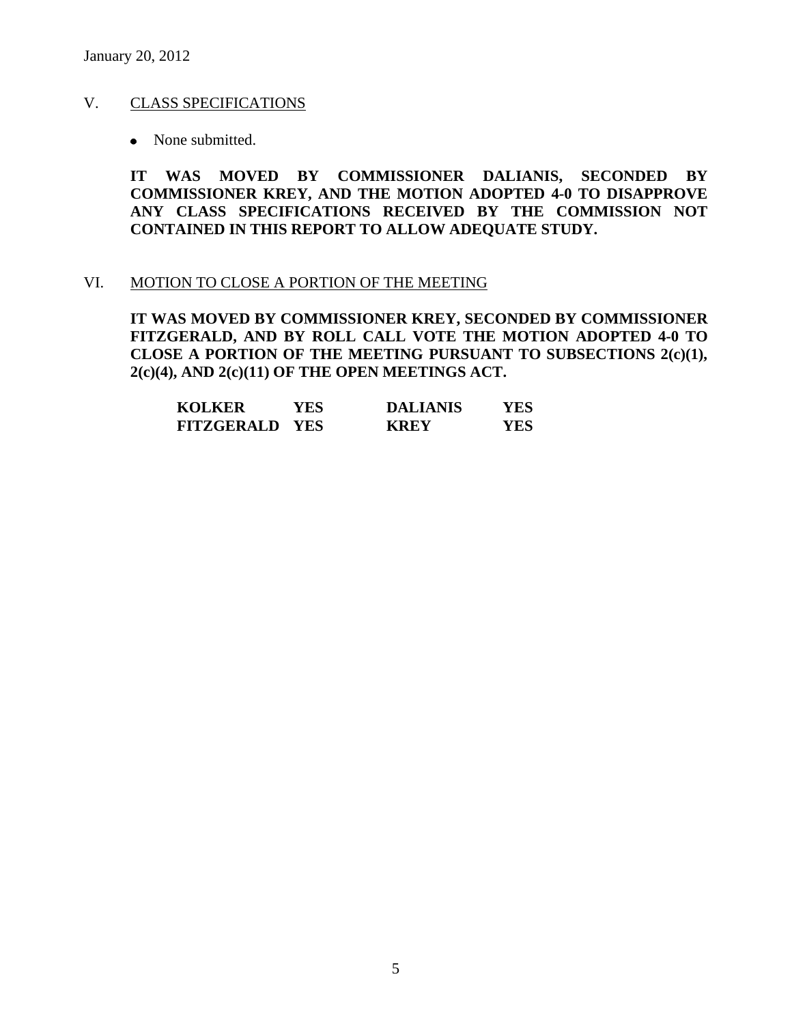## V. CLASS SPECIFICATIONS

• None submitted.

**IT WAS MOVED BY COMMISSIONER DALIANIS, SECONDED BY COMMISSIONER KREY, AND THE MOTION ADOPTED 4-0 TO DISAPPROVE ANY CLASS SPECIFICATIONS RECEIVED BY THE COMMISSION NOT CONTAINED IN THIS REPORT TO ALLOW ADEQUATE STUDY.** 

#### VI. MOTION TO CLOSE A PORTION OF THE MEETING

**IT WAS MOVED BY COMMISSIONER KREY, SECONDED BY COMMISSIONER FITZGERALD, AND BY ROLL CALL VOTE THE MOTION ADOPTED 4-0 TO CLOSE A PORTION OF THE MEETING PURSUANT TO SUBSECTIONS 2(c)(1), 2(c)(4), AND 2(c)(11) OF THE OPEN MEETINGS ACT.**

| <b>KOLKER</b>         | YES | <b>DALIANIS</b> | YES |
|-----------------------|-----|-----------------|-----|
| <b>FITZGERALD YES</b> |     | <b>KREY</b>     | YES |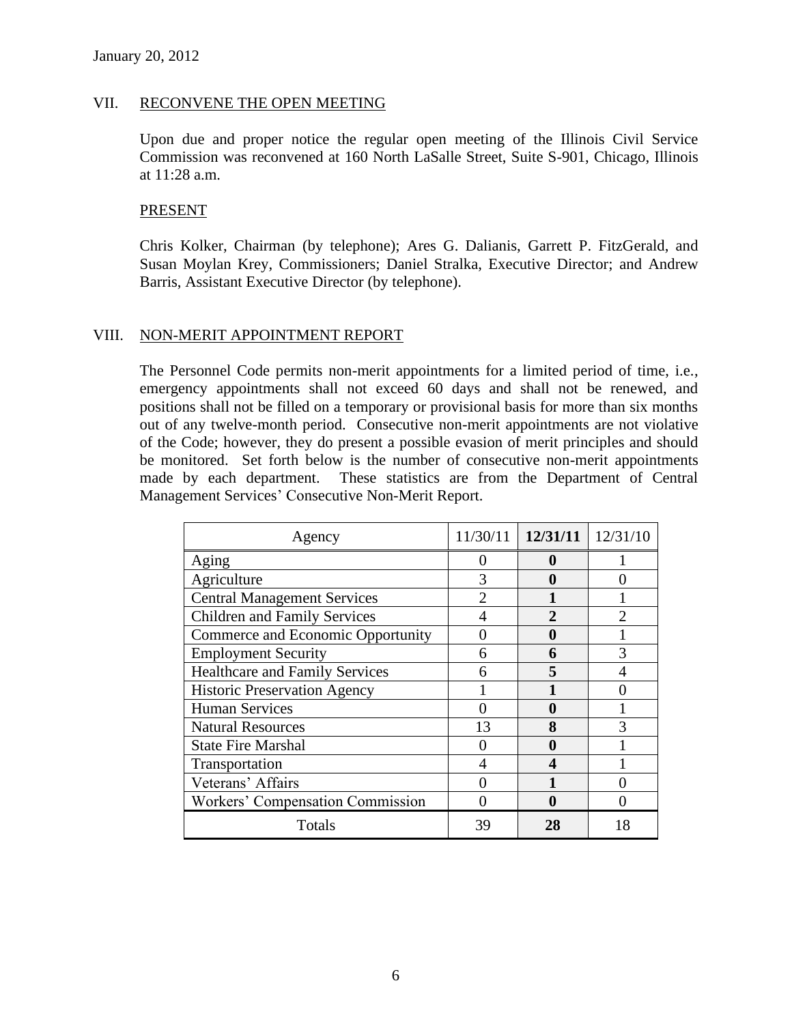#### VII. RECONVENE THE OPEN MEETING

Upon due and proper notice the regular open meeting of the Illinois Civil Service Commission was reconvened at 160 North LaSalle Street, Suite S-901, Chicago, Illinois at 11:28 a.m.

#### PRESENT

Chris Kolker, Chairman (by telephone); Ares G. Dalianis, Garrett P. FitzGerald, and Susan Moylan Krey, Commissioners; Daniel Stralka, Executive Director; and Andrew Barris, Assistant Executive Director (by telephone).

### VIII. NON-MERIT APPOINTMENT REPORT

The Personnel Code permits non-merit appointments for a limited period of time, i.e., emergency appointments shall not exceed 60 days and shall not be renewed, and positions shall not be filled on a temporary or provisional basis for more than six months out of any twelve-month period. Consecutive non-merit appointments are not violative of the Code; however, they do present a possible evasion of merit principles and should be monitored. Set forth below is the number of consecutive non-merit appointments made by each department. These statistics are from the Department of Central Management Services' Consecutive Non-Merit Report.

| Agency                                | 11/30/11 | 12/31/11     | 12/31/10 |
|---------------------------------------|----------|--------------|----------|
| Aging                                 |          |              |          |
| Agriculture                           | 3        |              |          |
| <b>Central Management Services</b>    |          |              |          |
| <b>Children and Family Services</b>   |          | $\mathbf{2}$ |          |
| Commerce and Economic Opportunity     |          |              |          |
| <b>Employment Security</b>            | 6        | 6            | 3        |
| <b>Healthcare and Family Services</b> | 6        | 5            |          |
| <b>Historic Preservation Agency</b>   |          |              |          |
| <b>Human Services</b>                 |          | 0            |          |
| <b>Natural Resources</b>              | 13       | 8            |          |
| <b>State Fire Marshal</b>             |          |              |          |
| Transportation                        |          |              |          |
| Veterans' Affairs                     |          |              |          |
| Workers' Compensation Commission      |          |              |          |
| Totals                                | 39       | 28           | 18       |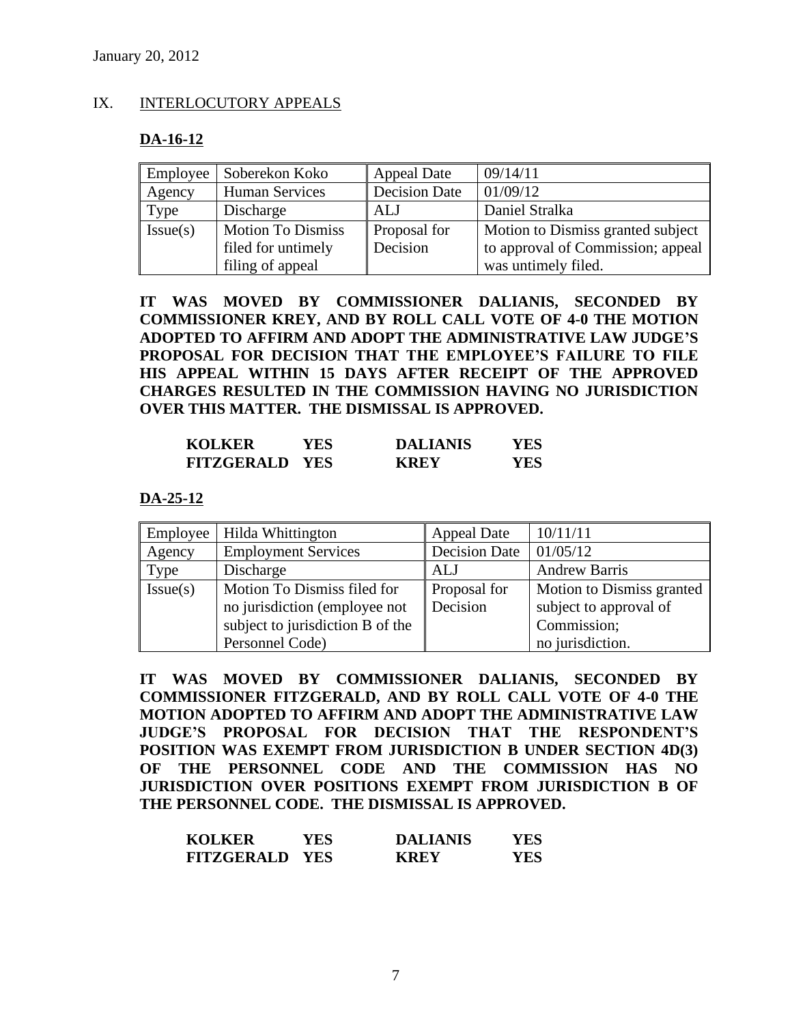#### IX. INTERLOCUTORY APPEALS

#### **DA-16-12**

| Employee | Soberekon Koko           | <b>Appeal Date</b>   | 09/14/11                          |
|----------|--------------------------|----------------------|-----------------------------------|
| Agency   | <b>Human Services</b>    | <b>Decision Date</b> | 01/09/12                          |
| Type     | Discharge                | ALJ                  | Daniel Stralka                    |
| Issue(s) | <b>Motion To Dismiss</b> | <b>Proposal for</b>  | Motion to Dismiss granted subject |
|          | filed for untimely       | Decision             | to approval of Commission; appeal |
|          | filing of appeal         |                      | was untimely filed.               |

**IT WAS MOVED BY COMMISSIONER DALIANIS, SECONDED BY COMMISSIONER KREY, AND BY ROLL CALL VOTE OF 4-0 THE MOTION ADOPTED TO AFFIRM AND ADOPT THE ADMINISTRATIVE LAW JUDGE'S PROPOSAL FOR DECISION THAT THE EMPLOYEE'S FAILURE TO FILE HIS APPEAL WITHIN 15 DAYS AFTER RECEIPT OF THE APPROVED CHARGES RESULTED IN THE COMMISSION HAVING NO JURISDICTION OVER THIS MATTER. THE DISMISSAL IS APPROVED.**

| <b>KOLKER</b>         | YES | <b>DALIANIS</b> | YES |
|-----------------------|-----|-----------------|-----|
| <b>FITZGERALD YES</b> |     | <b>KREY</b>     | YES |

#### **DA-25-12**

|          | Employee   Hilda Whittington     | <b>Appeal Date</b>   | 10/11/11                  |
|----------|----------------------------------|----------------------|---------------------------|
| Agency   | <b>Employment Services</b>       | <b>Decision Date</b> | 01/05/12                  |
| Type     | Discharge                        | ALJ                  | <b>Andrew Barris</b>      |
| Issue(s) | Motion To Dismiss filed for      | Proposal for         | Motion to Dismiss granted |
|          | no jurisdiction (employee not    | Decision             | subject to approval of    |
|          | subject to jurisdiction B of the |                      | Commission;               |
|          | Personnel Code)                  |                      | no jurisdiction.          |

**IT WAS MOVED BY COMMISSIONER DALIANIS, SECONDED BY COMMISSIONER FITZGERALD, AND BY ROLL CALL VOTE OF 4-0 THE MOTION ADOPTED TO AFFIRM AND ADOPT THE ADMINISTRATIVE LAW JUDGE'S PROPOSAL FOR DECISION THAT THE RESPONDENT'S POSITION WAS EXEMPT FROM JURISDICTION B UNDER SECTION 4D(3) OF THE PERSONNEL CODE AND THE COMMISSION HAS NO JURISDICTION OVER POSITIONS EXEMPT FROM JURISDICTION B OF THE PERSONNEL CODE. THE DISMISSAL IS APPROVED.**

| <b>KOLKER</b>         | YES. | <b>DALIANIS</b> | <b>YES</b> |
|-----------------------|------|-----------------|------------|
| <b>FITZGERALD YES</b> |      | <b>KREY</b>     | <b>YES</b> |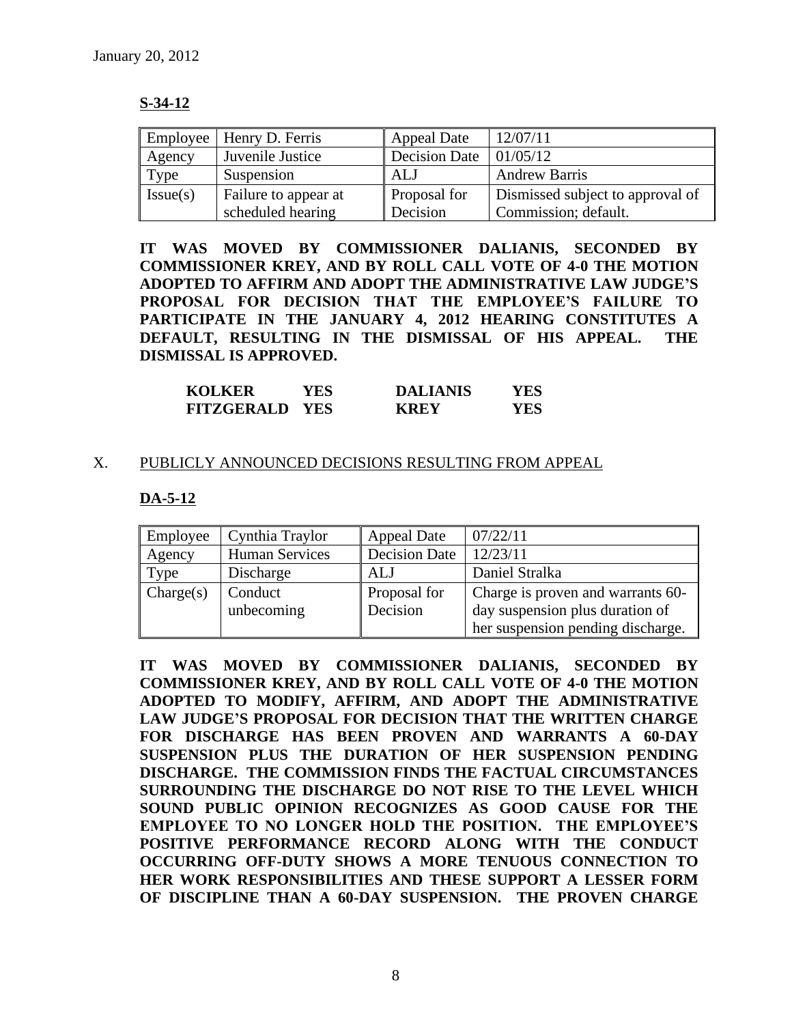# **S-34-12**

| Employee | Henry D. Ferris      | <b>Appeal Date</b>   | 12/07/11                         |
|----------|----------------------|----------------------|----------------------------------|
| Agency   | Juvenile Justice     | <b>Decision Date</b> | 01/05/12                         |
| Type     | Suspension           | ALJ                  | <b>Andrew Barris</b>             |
| Issue(s) | Failure to appear at | Proposal for         | Dismissed subject to approval of |
|          | scheduled hearing    | Decision             | Commission; default.             |

**IT WAS MOVED BY COMMISSIONER DALIANIS, SECONDED BY COMMISSIONER KREY, AND BY ROLL CALL VOTE OF 4-0 THE MOTION ADOPTED TO AFFIRM AND ADOPT THE ADMINISTRATIVE LAW JUDGE'S PROPOSAL FOR DECISION THAT THE EMPLOYEE'S FAILURE TO PARTICIPATE IN THE JANUARY 4, 2012 HEARING CONSTITUTES A DEFAULT, RESULTING IN THE DISMISSAL OF HIS APPEAL. THE DISMISSAL IS APPROVED.**

| <b>KOLKER</b>         | YES | <b>DALIANIS</b> | YES |
|-----------------------|-----|-----------------|-----|
| <b>FITZGERALD YES</b> |     | <b>KREY</b>     | YES |

### X. PUBLICLY ANNOUNCED DECISIONS RESULTING FROM APPEAL

# **DA-5-12**

| Employee  | Cynthia Traylor       | <b>Appeal Date</b>   | 07/22/11                          |
|-----------|-----------------------|----------------------|-----------------------------------|
| Agency    | <b>Human Services</b> | <b>Decision Date</b> | 12/23/11                          |
| Type      | Discharge             | ALJ                  | Daniel Stralka                    |
| Change(s) | Conduct               | Proposal for         | Charge is proven and warrants 60- |
|           | unbecoming            | Decision             | day suspension plus duration of   |
|           |                       |                      | her suspension pending discharge. |

**IT WAS MOVED BY COMMISSIONER DALIANIS, SECONDED BY COMMISSIONER KREY, AND BY ROLL CALL VOTE OF 4-0 THE MOTION ADOPTED TO MODIFY, AFFIRM, AND ADOPT THE ADMINISTRATIVE LAW JUDGE'S PROPOSAL FOR DECISION THAT THE WRITTEN CHARGE FOR DISCHARGE HAS BEEN PROVEN AND WARRANTS A 60-DAY SUSPENSION PLUS THE DURATION OF HER SUSPENSION PENDING DISCHARGE. THE COMMISSION FINDS THE FACTUAL CIRCUMSTANCES SURROUNDING THE DISCHARGE DO NOT RISE TO THE LEVEL WHICH SOUND PUBLIC OPINION RECOGNIZES AS GOOD CAUSE FOR THE EMPLOYEE TO NO LONGER HOLD THE POSITION. THE EMPLOYEE'S POSITIVE PERFORMANCE RECORD ALONG WITH THE CONDUCT OCCURRING OFF-DUTY SHOWS A MORE TENUOUS CONNECTION TO HER WORK RESPONSIBILITIES AND THESE SUPPORT A LESSER FORM OF DISCIPLINE THAN A 60-DAY SUSPENSION. THE PROVEN CHARGE**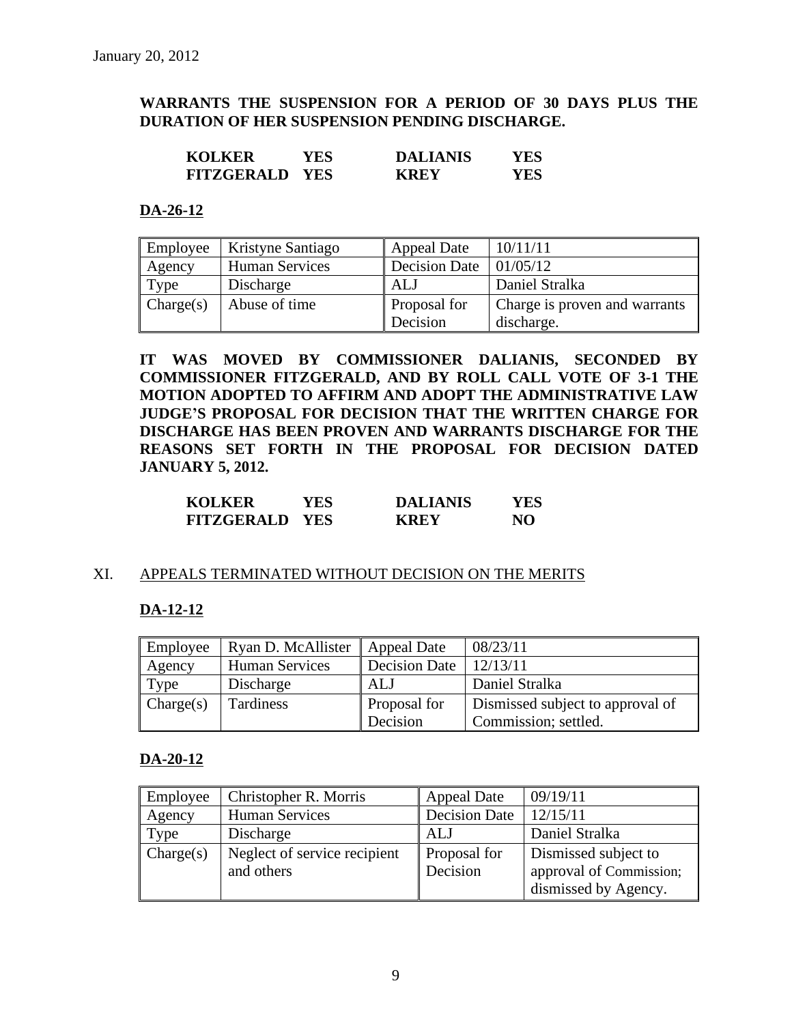# **WARRANTS THE SUSPENSION FOR A PERIOD OF 30 DAYS PLUS THE DURATION OF HER SUSPENSION PENDING DISCHARGE.**

| <b>KOLKER</b>         | YES. | <b>DALIANIS</b> | YES |
|-----------------------|------|-----------------|-----|
| <b>FITZGERALD YES</b> |      | <b>KREY</b>     | YES |

#### **DA-26-12**

| Employee  | Kristyne Santiago     | <b>Appeal Date</b> | 10/11/11                      |
|-----------|-----------------------|--------------------|-------------------------------|
| Agency    | <b>Human Services</b> | Decision Date      | 01/05/12                      |
| Type      | Discharge             | ALJ                | Daniel Stralka                |
| Change(s) | Abuse of time         | Proposal for       | Charge is proven and warrants |
|           |                       | Decision           | discharge.                    |

**IT WAS MOVED BY COMMISSIONER DALIANIS, SECONDED BY COMMISSIONER FITZGERALD, AND BY ROLL CALL VOTE OF 3-1 THE MOTION ADOPTED TO AFFIRM AND ADOPT THE ADMINISTRATIVE LAW JUDGE'S PROPOSAL FOR DECISION THAT THE WRITTEN CHARGE FOR DISCHARGE HAS BEEN PROVEN AND WARRANTS DISCHARGE FOR THE REASONS SET FORTH IN THE PROPOSAL FOR DECISION DATED JANUARY 5, 2012.**

| <b>KOLKER</b>         | <b>YES</b> | <b>DALIANIS</b> | YES |
|-----------------------|------------|-----------------|-----|
| <b>FITZGERALD YES</b> |            | <b>KREY</b>     | NO  |

### XI. APPEALS TERMINATED WITHOUT DECISION ON THE MERITS

### **DA-12-12**

| Employee  | Ryan D. McAllister    | <b>Appeal Date</b> | 08/23/11                         |
|-----------|-----------------------|--------------------|----------------------------------|
| Agency    | <b>Human Services</b> | Decision Date      | 12/13/11                         |
| Type      | Discharge             | ALJ                | Daniel Stralka                   |
| Change(s) | Tardiness             | Proposal for       | Dismissed subject to approval of |
|           |                       | Decision           | Commission; settled.             |

#### **DA-20-12**

| Employee  | Christopher R. Morris        | <b>Appeal Date</b>   | 09/19/11                |
|-----------|------------------------------|----------------------|-------------------------|
| Agency    | <b>Human Services</b>        | <b>Decision Date</b> | 12/15/11                |
| Type      | Discharge                    | ALJ                  | Daniel Stralka          |
| Change(s) | Neglect of service recipient | Proposal for         | Dismissed subject to    |
|           | and others                   | Decision             | approval of Commission; |
|           |                              |                      | dismissed by Agency.    |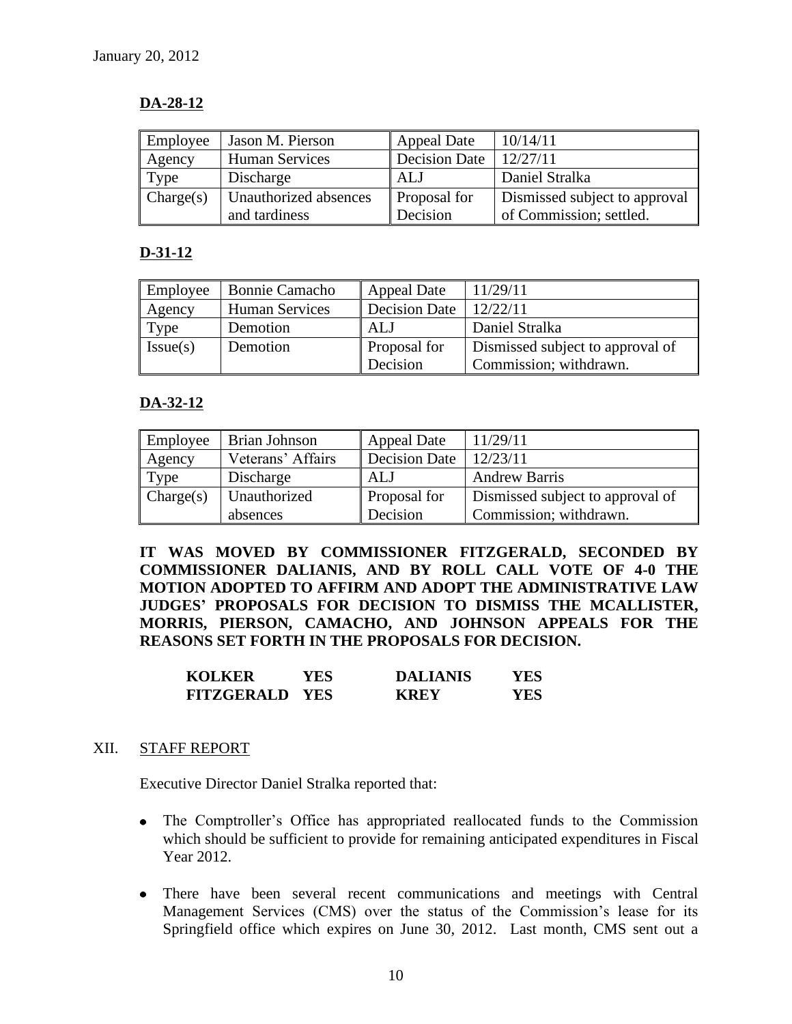# **DA-28-12**

| Employee  | Jason M. Pierson      | <b>Appeal Date</b>   | 10/14/11                      |
|-----------|-----------------------|----------------------|-------------------------------|
| Agency    | Human Services        | <b>Decision Date</b> | 12/27/11                      |
| Type      | Discharge             | ALJ                  | Daniel Stralka                |
| Change(s) | Unauthorized absences | <b>Proposal for</b>  | Dismissed subject to approval |
|           | and tardiness         | Decision             | of Commission; settled.       |

# **D-31-12**

| Employee | Bonnie Camacho        | Appeal Date   | 11/29/11                         |
|----------|-----------------------|---------------|----------------------------------|
| Agency   | <b>Human Services</b> | Decision Date | 12/22/11                         |
| Type     | Demotion              | ALJ           | Daniel Stralka                   |
| Issue(s) | Demotion              | Proposal for  | Dismissed subject to approval of |
|          |                       | Decision      | Commission; withdrawn.           |

# **DA-32-12**

| Employee  | Brian Johnson     | Appeal Date          | 11/29/11                         |
|-----------|-------------------|----------------------|----------------------------------|
| Agency    | Veterans' Affairs | <b>Decision Date</b> | 12/23/11                         |
| Type      | Discharge         | ALJ                  | <b>Andrew Barris</b>             |
| Change(s) | Unauthorized      | Proposal for         | Dismissed subject to approval of |
|           | absences          | Decision             | Commission; withdrawn.           |

**IT WAS MOVED BY COMMISSIONER FITZGERALD, SECONDED BY COMMISSIONER DALIANIS, AND BY ROLL CALL VOTE OF 4-0 THE MOTION ADOPTED TO AFFIRM AND ADOPT THE ADMINISTRATIVE LAW JUDGES' PROPOSALS FOR DECISION TO DISMISS THE MCALLISTER, MORRIS, PIERSON, CAMACHO, AND JOHNSON APPEALS FOR THE REASONS SET FORTH IN THE PROPOSALS FOR DECISION.**

| <b>KOLKER</b>         | YES | <b>DALIANIS</b> | YES |
|-----------------------|-----|-----------------|-----|
| <b>FITZGERALD YES</b> |     | <b>KREY</b>     | YES |

### XII. STAFF REPORT

Executive Director Daniel Stralka reported that:

- The Comptroller's Office has appropriated reallocated funds to the Commission which should be sufficient to provide for remaining anticipated expenditures in Fiscal Year 2012.
- There have been several recent communications and meetings with Central Management Services (CMS) over the status of the Commission's lease for its Springfield office which expires on June 30, 2012. Last month, CMS sent out a